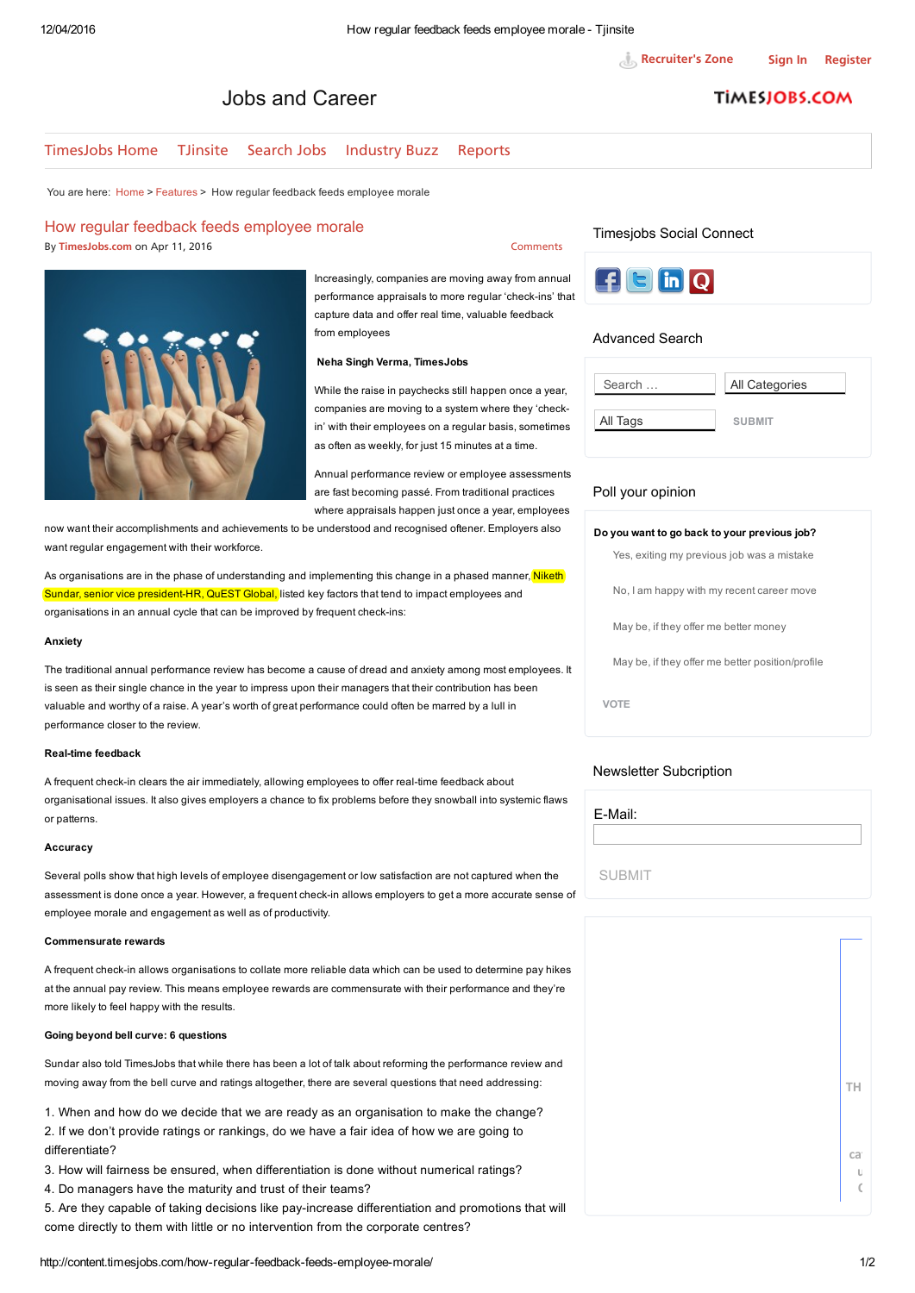# Jobs and Career

## **TİMESJOBS COM**

#### [Time](http://www.timesjobs.com/)sJobs Home TJinsite [Search](http://www.timesjobs.com/candidate/job-search.html) Jobs [Industry](http://content.timesjobs.com/category/industry-buzz/) Buzz [Reports](http://content.timesjobs.com/category/recruitex/)

You are here: [Home](http://content.timesjobs.com/) > [Features](http://content.timesjobs.com/category/features/) > How regular feedback feeds employee morale

#### How regular feedback feeds employee morale

By [TimesJobs.com](http://content.timesjobs.com/author/contentadmin/) on Apr 11, 2016

[Comments](#page-1-0)

Increasingly, companies are moving away from annual performance appraisals to more regular 'check-ins' that capture data and offer real time, valuable feedback from employees

#### Neha Singh Verma, TimesJobs

While the raise in paychecks still happen once a year, companies are moving to a system where they 'checkin' with their employees on a regular basis, sometimes as often as weekly, for just 15 minutes at a time.

Annual performance review or employee assessments are fast becoming passé. From traditional practices where appraisals happen just once a year, employees

now want their accomplishments and achievements to be understood and recognised oftener. Employers also want regular engagement with their workforce.

As organisations are in the phase of understanding and implementing this change in a phased manner, Niketh Sundar, senior vice president-HR, QuEST Global, listed key factors that tend to impact employees and organisations in an annual cycle that can be improved by frequent check-ins:

#### Anxiety

The traditional annual performance review has become a cause of dread and anxiety among most employees. It is seen as their single chance in the year to impress upon their managers that their contribution has been valuable and worthy of a raise. A year's worth of great performance could often be marred by a lull in performance closer to the review.

#### Real-time feedback

A frequent check-in clears the air immediately, allowing employees to offer real-time feedback about organisational issues. It also gives employers a chance to fix problems before they snowball into systemic flaws or patterns.

#### Accuracy

Several polls show that high levels of employee disengagement or low satisfaction are not captured when the assessment is done once a year. However, a frequent check-in allows employers to get a more accurate sense of employee morale and engagement as well as of productivity.

#### Commensurate rewards

A frequent check-in allows organisations to collate more reliable data which can be used to determine pay hikes at the annual pay review. This means employee rewards are commensurate with their performance and they're more likely to feel happy with the results.

#### Going beyond bell curve: 6 questions

Sundar also told TimesJobs that while there has been a lot of talk about reforming the performance review and moving away from the bell curve and ratings altogether, there are several questions that need addressing:

1. When and how do we decide that we are ready as an organisation to make the change? 2. If we don't provide ratings or rankings, do we have a fair idea of how we are going to differentiate?

- 3. How will fairness be ensured, when differentiation is done without numerical ratings?
- 4. Do managers have the maturity and trust of their teams?

5. Are they capable of taking decisions like pay-increase differentiation and promotions that will come directly to them with little or no intervention from the corporate centres?

## Timesjobs Social Connect



#### Advanced Search

| Search   | All Categories |
|----------|----------------|
| All Tags | <b>SUBMIT</b>  |

#### Poll your opinion

| Do you want to go back to your previous job?     |  |  |  |
|--------------------------------------------------|--|--|--|
| Yes, exiting my previous job was a mistake       |  |  |  |
| No, I am happy with my recent career move        |  |  |  |
| May be, if they offer me better money            |  |  |  |
| May be, if they offer me better position/profile |  |  |  |
| <b>VOTE</b>                                      |  |  |  |
|                                                  |  |  |  |

## Newsletter Subcription

| E-Mail:       |  |  |  |
|---------------|--|--|--|
|               |  |  |  |
| <b>SUBMIT</b> |  |  |  |

THE WEBSITE YOU

category that we feel  $\mathbf{u}$  accessed from with  $\mathbb{C}$  of  $\mathbb{C}$